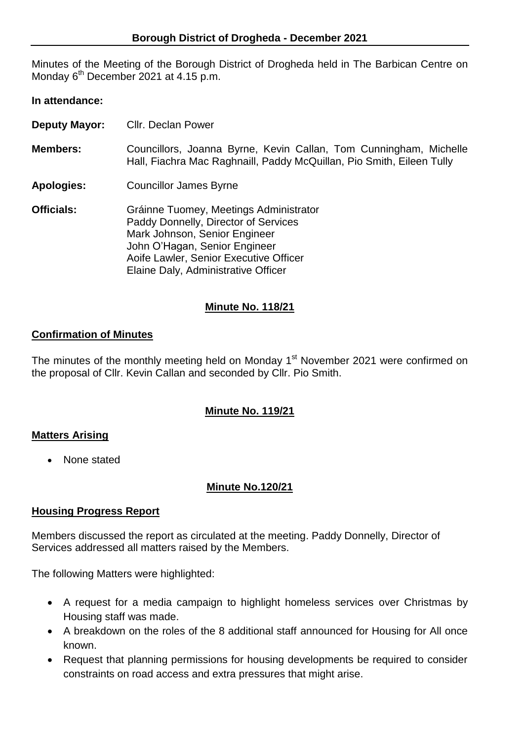Minutes of the Meeting of the Borough District of Drogheda held in The Barbican Centre on Monday 6<sup>th</sup> December 2021 at 4.15 p.m.

# **In attendance:**

| <b>Deputy Mayor:</b> | <b>Cllr. Declan Power</b> |
|----------------------|---------------------------|
|----------------------|---------------------------|

- **Members:** Councillors, Joanna Byrne, Kevin Callan, Tom Cunningham, Michelle Hall, Fiachra Mac Raghnaill, Paddy McQuillan, Pio Smith, Eileen Tully
- **Apologies:** Councillor James Byrne
- **Officials:** Gráinne Tuomey, Meetings Administrator Paddy Donnelly, Director of Services Mark Johnson, Senior Engineer John O'Hagan, Senior Engineer Aoife Lawler, Senior Executive Officer Elaine Daly, Administrative Officer

# **Minute No. 118/21**

# **Confirmation of Minutes**

The minutes of the monthly meeting held on Monday 1<sup>st</sup> November 2021 were confirmed on the proposal of Cllr. Kevin Callan and seconded by Cllr. Pio Smith.

# **Minute No. 119/21**

# **Matters Arising**

• None stated

# **Minute No.120/21**

# **Housing Progress Report**

Members discussed the report as circulated at the meeting. Paddy Donnelly, Director of Services addressed all matters raised by the Members.

The following Matters were highlighted:

- A request for a media campaign to highlight homeless services over Christmas by Housing staff was made.
- A breakdown on the roles of the 8 additional staff announced for Housing for All once known.
- Request that planning permissions for housing developments be required to consider constraints on road access and extra pressures that might arise.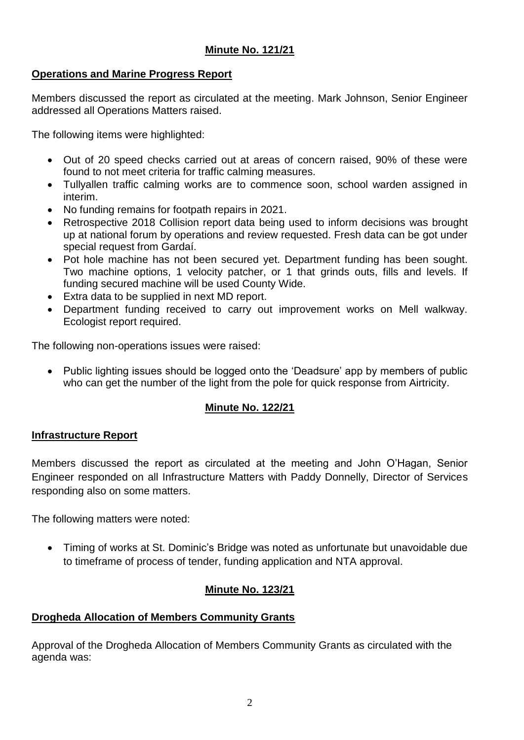# **Minute No. 121/21**

# **Operations and Marine Progress Report**

Members discussed the report as circulated at the meeting. Mark Johnson, Senior Engineer addressed all Operations Matters raised.

The following items were highlighted:

- Out of 20 speed checks carried out at areas of concern raised, 90% of these were found to not meet criteria for traffic calming measures.
- Tullyallen traffic calming works are to commence soon, school warden assigned in interim.
- No funding remains for footpath repairs in 2021.
- Retrospective 2018 Collision report data being used to inform decisions was brought up at national forum by operations and review requested. Fresh data can be got under special request from Gardaí.
- Pot hole machine has not been secured yet. Department funding has been sought. Two machine options, 1 velocity patcher, or 1 that grinds outs, fills and levels. If funding secured machine will be used County Wide.
- Extra data to be supplied in next MD report.
- Department funding received to carry out improvement works on Mell walkway. Ecologist report required.

The following non-operations issues were raised:

• Public lighting issues should be logged onto the 'Deadsure' app by members of public who can get the number of the light from the pole for quick response from Airtricity.

# **Minute No. 122/21**

# **Infrastructure Report**

Members discussed the report as circulated at the meeting and John O'Hagan, Senior Engineer responded on all Infrastructure Matters with Paddy Donnelly, Director of Services responding also on some matters.

The following matters were noted:

 Timing of works at St. Dominic's Bridge was noted as unfortunate but unavoidable due to timeframe of process of tender, funding application and NTA approval.

# **Minute No. 123/21**

# **Drogheda Allocation of Members Community Grants**

Approval of the Drogheda Allocation of Members Community Grants as circulated with the agenda was: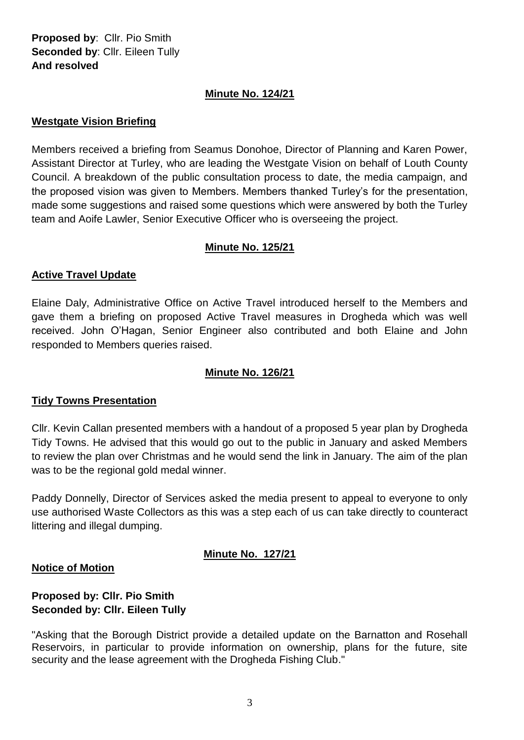**Proposed by**: Cllr. Pio Smith **Seconded by**: Cllr. Eileen Tully **And resolved**

# **Minute No. 124/21**

# **Westgate Vision Briefing**

Members received a briefing from Seamus Donohoe, Director of Planning and Karen Power, Assistant Director at Turley, who are leading the Westgate Vision on behalf of Louth County Council. A breakdown of the public consultation process to date, the media campaign, and the proposed vision was given to Members. Members thanked Turley's for the presentation, made some suggestions and raised some questions which were answered by both the Turley team and Aoife Lawler, Senior Executive Officer who is overseeing the project.

# **Minute No. 125/21**

# **Active Travel Update**

Elaine Daly, Administrative Office on Active Travel introduced herself to the Members and gave them a briefing on proposed Active Travel measures in Drogheda which was well received. John O'Hagan, Senior Engineer also contributed and both Elaine and John responded to Members queries raised.

# **Minute No. 126/21**

# **Tidy Towns Presentation**

Cllr. Kevin Callan presented members with a handout of a proposed 5 year plan by Drogheda Tidy Towns. He advised that this would go out to the public in January and asked Members to review the plan over Christmas and he would send the link in January. The aim of the plan was to be the regional gold medal winner.

Paddy Donnelly, Director of Services asked the media present to appeal to everyone to only use authorised Waste Collectors as this was a step each of us can take directly to counteract littering and illegal dumping.

# **Minute No. 127/21**

# **Notice of Motion**

# **Proposed by: Cllr. Pio Smith Seconded by: Cllr. Eileen Tully**

"Asking that the Borough District provide a detailed update on the Barnatton and Rosehall Reservoirs, in particular to provide information on ownership, plans for the future, site security and the lease agreement with the Drogheda Fishing Club."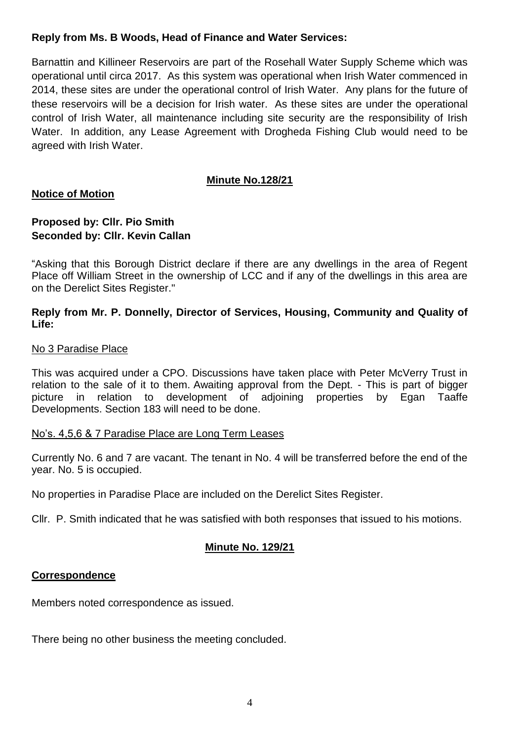# **Reply from Ms. B Woods, Head of Finance and Water Services:**

Barnattin and Killineer Reservoirs are part of the Rosehall Water Supply Scheme which was operational until circa 2017. As this system was operational when Irish Water commenced in 2014, these sites are under the operational control of Irish Water. Any plans for the future of these reservoirs will be a decision for Irish water. As these sites are under the operational control of Irish Water, all maintenance including site security are the responsibility of Irish Water. In addition, any Lease Agreement with Drogheda Fishing Club would need to be agreed with Irish Water.

# **Minute No.128/21**

# **Notice of Motion**

# **Proposed by: Cllr. Pio Smith Seconded by: Cllr. Kevin Callan**

"Asking that this Borough District declare if there are any dwellings in the area of Regent Place off William Street in the ownership of LCC and if any of the dwellings in this area are on the Derelict Sites Register."

# **Reply from Mr. P. Donnelly, Director of Services, Housing, Community and Quality of Life:**

#### No 3 Paradise Place

This was acquired under a CPO. Discussions have taken place with Peter McVerry Trust in relation to the sale of it to them. Awaiting approval from the Dept. - This is part of bigger picture in relation to development of adjoining properties by Egan Taaffe Developments. Section 183 will need to be done.

#### No's. 4,5,6 & 7 Paradise Place are Long Term Leases

Currently No. 6 and 7 are vacant. The tenant in No. 4 will be transferred before the end of the year. No. 5 is occupied.

No properties in Paradise Place are included on the Derelict Sites Register.

Cllr. P. Smith indicated that he was satisfied with both responses that issued to his motions.

# **Minute No. 129/21**

# **Correspondence**

Members noted correspondence as issued.

There being no other business the meeting concluded.